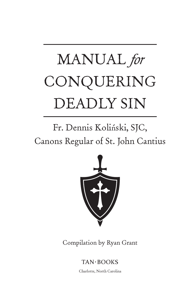# MANUAL *for* CONQUERING DEADLY SIN

## Fr. Dennis Kolinski, SJC, ´Canons Regular of St. John Cantius



Compilation by Ryan Grant

 $TAN \cdot BOOKS$ 

Charlotte, North Carolina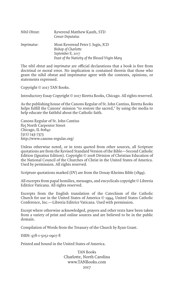| Nihil Obstat: | Reverend Matthew Kauth, STD<br>Censor Deputatus          |
|---------------|----------------------------------------------------------|
| Imprimatur:   | Most Reverend Peter J. Jugis, JCD<br>Bishop of Charlotte |
|               | September 8, 2017                                        |
|               | Feast of the Nativity of the Blessed Virgin Mary         |

The *nihil obstat* and *imprimatur* are official declarations that a book is free from doctrinal or moral error. No implication is contained therein that those who grant the nihil obstat and imprimatur agree with the contents, opinions, or statements expressed.

Copyright © 2017 TAN Books.

Introductory Essay Copyright © 2017 Biretta Books, Chicago. All rights reserved.

As the publishing house of the Canons Regular of St. John Cantius, Biretta Books helps fulfill the Canons' mission "to restore the sacred," by using the media to help educate the faithful about the Catholic faith.

Canons Regular of St. John Cantius 825 North Carpenter Street Chicago, IL  $60642$ (312) 243-7373 http://www.canons-regular.org/

Unless otherwise noted, or in texts quoted from other sources, all Scripture quotations are from the Revised Standard Version of the Bible—Second Catholic Edition (Ignatius Edition). Copyright © 2006 Division of Christian Education of the National Council of the Churches of Christ in the United States of America. Used by permission. All rights reserved.

Scripture quotations marked (DV) are from the Douay-Rheims Bible (1899).

All excerpts from papal homilies, messages, and encyclicals copyright © Libreria Editrice Vaticana. All rights reserved.

Excerpts from the English translation of the Catechism of the Catholic Church for use in the United States of America © 1994, United States Catholic Conference, Inc.—Libreria Editrice Vaticana. Used with permission.

Except where otherwise acknowledged, prayers and other texts have been taken from a variety of print and online sources and are believed to be in the public domain.

Compilation of Words from the Treasury of the Church by Ryan Grant.

ISBN: 978-1-5051-0907-8

Printed and bound in the United States of America.

TAN Books Charlotte, North Carolina www.TANBooks.com 2017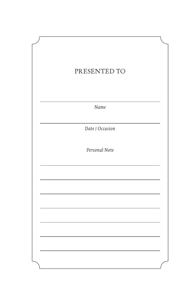| PRESENTED TO    |  |
|-----------------|--|
|                 |  |
|                 |  |
| Name            |  |
| Date / Occasion |  |
| Personal Note   |  |
|                 |  |
|                 |  |
|                 |  |
|                 |  |
|                 |  |
|                 |  |
|                 |  |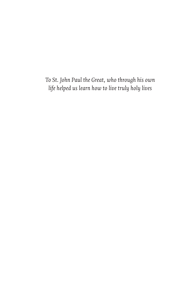*To St. John Paul the Great, who through his own life helped us learn how to live truly holy lives*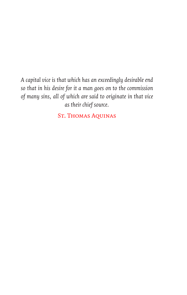*A capital vice is that which has an exceedingly desirable end so that in his desire for it a man goes on to the commission of many sins, all of which are said to originate in that vice as their chief source.*

St. Thomas Aquinas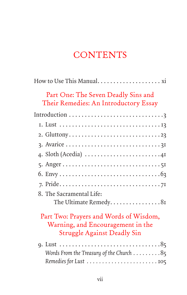## **CONTENTS**

| Part One: The Seven Deadly Sins and<br>Their Remedies: An Introductory Essay                                      |
|-------------------------------------------------------------------------------------------------------------------|
|                                                                                                                   |
|                                                                                                                   |
|                                                                                                                   |
|                                                                                                                   |
| 4. Sloth (Acedia) $\dots \dots \dots \dots \dots \dots \dots \dots \dots$                                         |
|                                                                                                                   |
|                                                                                                                   |
|                                                                                                                   |
| 8. The Sacramental Life:                                                                                          |
| The Ultimate Remedy81                                                                                             |
| Part Two: Prayers and Words of Wisdom,<br>Warning, and Encouragement in the<br><b>Struggle Against Deadly Sin</b> |
|                                                                                                                   |
| Words From the Treasury of the Church $\ldots \ldots \ldots 85$                                                   |
|                                                                                                                   |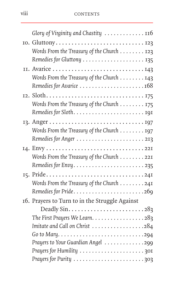| Glory of Virginity and Chastity 116                                       |
|---------------------------------------------------------------------------|
|                                                                           |
| Words From the Treasury of the Church 123                                 |
| Remedies for Gluttony  135                                                |
|                                                                           |
| Words From the Treasury of the Church 143                                 |
|                                                                           |
|                                                                           |
| Words From the Treasury of the Church 175                                 |
|                                                                           |
|                                                                           |
| Words From the Treasury of the Church 197                                 |
|                                                                           |
|                                                                           |
| Words From the Treasury of the Church 221                                 |
|                                                                           |
| 15. Pride241                                                              |
| Words From the Treasury of the Church 241                                 |
| Remedies for Pride269                                                     |
| 16. Prayers to Turn to in the Struggle Against                            |
| Deadly Sin. $\ldots \ldots \ldots \ldots \ldots \ldots \ldots \ldots$ 283 |
| The First Prayers We Learn. 283                                           |
| Imitate and Call on Christ 284                                            |
|                                                                           |
| Prayers to Your Guardian Angel 299                                        |
|                                                                           |
|                                                                           |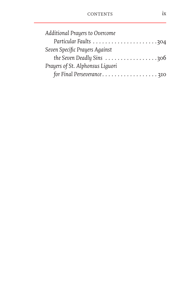| Additional Prayers to Overcome   |
|----------------------------------|
|                                  |
| Seven Specific Prayers Against   |
| the Seven Deadly Sins 306        |
| Prayers of St. Alphonsus Liguori |
| for Final Perseverance310        |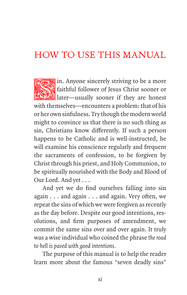## HOW TO USE THIS MANUAL

Fin. Anyone sincerely striving to be a more<br>faithful follower of Jesus Christ sooner or faithful follower of Jesus Christ sooner or later—usually sooner if they are honest with themselves—encounters a problem: that of his or her own sinfulness. Try though the modern world might to convince us that there is no such thing as sin, Christians know differently. If such a person happens to be Catholic and is well-instructed, he will examine his conscience regularly and frequent the sacraments of confession, to be forgiven by Christ through his priest, and Holy Communion, to be spiritually nourished with the Body and Blood of Our Lord. And yet . . .

And yet we do find ourselves falling into sin again . . . and again . . . and again. Very often, we repeat the sins of which we were forgiven as recently as the day before. Despite our good intentions, resolutions, and firm purposes of amendment, we commit the same sins over and over again. It truly was a wise individual who coined the phrase *the road to hell is paved with good intentions.*

The purpose of this manual is to help the reader learn more about the famous "seven deadly sins"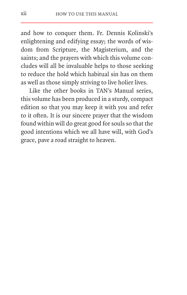and how to conquer them. Fr. Dennis Kolinski's enlightening and edifying essay; the words of wisdom from Scripture, the Magisterium, and the saints; and the prayers with which this volume concludes will all be invaluable helps to those seeking to reduce the hold which habitual sin has on them as well as those simply striving to live holier lives.

Like the other books in TAN's Manual series, this volume has been produced in a sturdy, compact edition so that you may keep it with you and refer to it often. It is our sincere prayer that the wisdom found within will do great good for souls so that the good intentions which we all have will, with God's grace, pave a road straight to heaven.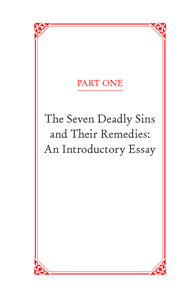